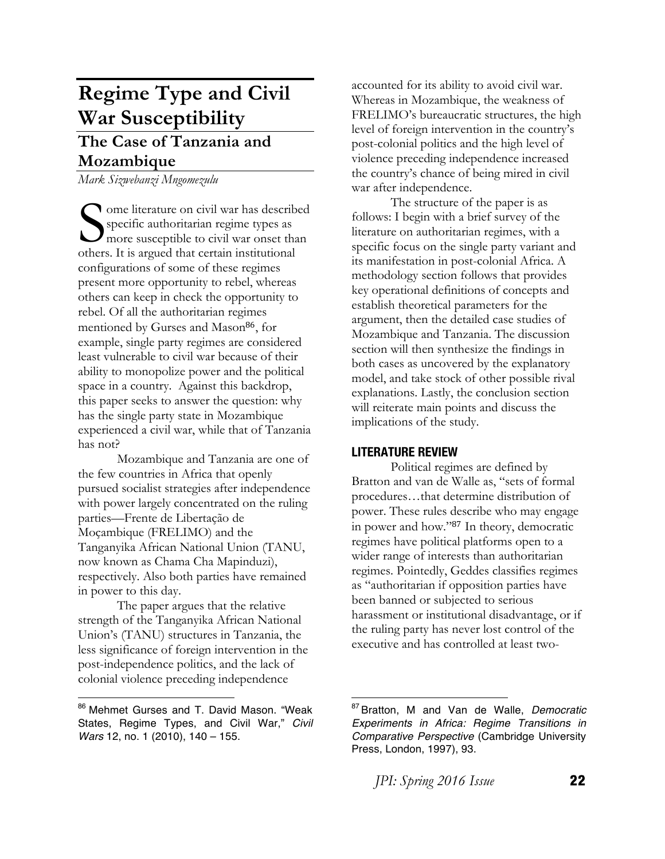# **Regime Type and Civil War Susceptibility**

# **The Case of Tanzania and Mozambique**

*Mark Sizwebanzi Mngomezulu*

ome literature on civil war has described specific authoritarian regime types as more susceptible to civil war onset than Some literature on civil war has describus specific authoritarian regime types as more susceptible to civil war onset that others. It is argued that certain institutional configurations of some of these regimes present more opportunity to rebel, whereas others can keep in check the opportunity to rebel. Of all the authoritarian regimes mentioned by Gurses and Mason<sup>86</sup>, for example, single party regimes are considered least vulnerable to civil war because of their ability to monopolize power and the political space in a country. Against this backdrop, this paper seeks to answer the question: why has the single party state in Mozambique experienced a civil war, while that of Tanzania has not?

Mozambique and Tanzania are one of the few countries in Africa that openly pursued socialist strategies after independence with power largely concentrated on the ruling parties—Frente de Libertação de Moçambique (FRELIMO) and the Tanganyika African National Union (TANU, now known as Chama Cha Mapinduzi), respectively. Also both parties have remained in power to this day.

The paper argues that the relative strength of the Tanganyika African National Union's (TANU) structures in Tanzania, the less significance of foreign intervention in the post-independence politics, and the lack of colonial violence preceding independence

accounted for its ability to avoid civil war. Whereas in Mozambique, the weakness of FRELIMO's bureaucratic structures, the high level of foreign intervention in the country's post-colonial politics and the high level of violence preceding independence increased the country's chance of being mired in civil war after independence.

The structure of the paper is as follows: I begin with a brief survey of the literature on authoritarian regimes, with a specific focus on the single party variant and its manifestation in post-colonial Africa. A methodology section follows that provides key operational definitions of concepts and establish theoretical parameters for the argument, then the detailed case studies of Mozambique and Tanzania. The discussion section will then synthesize the findings in both cases as uncovered by the explanatory model, and take stock of other possible rival explanations. Lastly, the conclusion section will reiterate main points and discuss the implications of the study.

## **LITERATURE REVIEW**

Political regimes are defined by Bratton and van de Walle as, "sets of formal procedures…that determine distribution of power. These rules describe who may engage in power and how."<sup>87</sup> In theory, democratic regimes have political platforms open to a wider range of interests than authoritarian regimes. Pointedly, Geddes classifies regimes as "authoritarian if opposition parties have been banned or subjected to serious harassment or institutional disadvantage, or if the ruling party has never lost control of the executive and has controlled at least two-

<sup>86</sup> Mehmet Gurses and T. David Mason. "Weak States, Regime Types, and Civil War," *Civil Wars* 12, no. 1 (2010), 140 - 155.

 <sup>87</sup> Bratton, M and Van de Walle, *Democratic Experiments in Africa: Regime Transitions in Comparative Perspective* (Cambridge University Press, London, 1997), 93.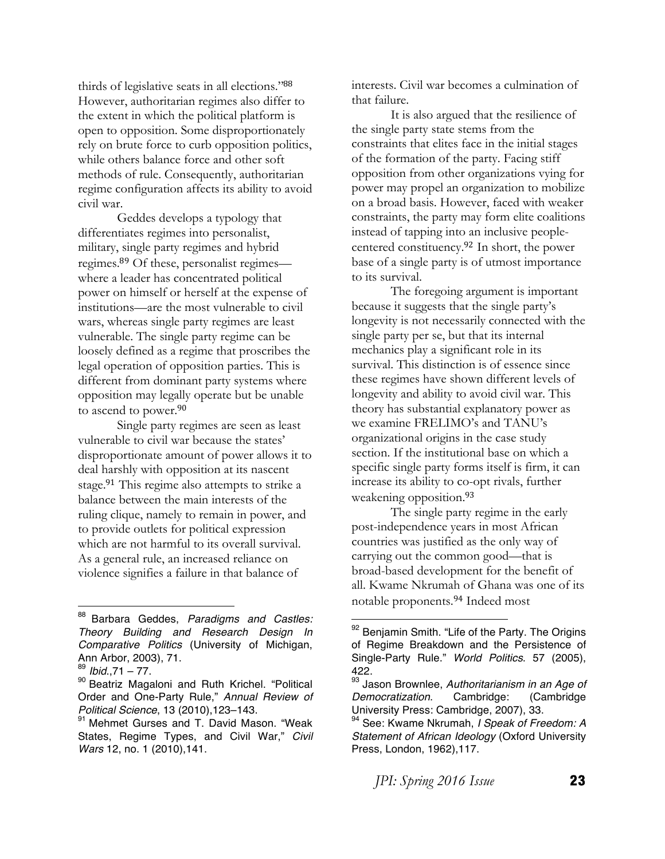thirds of legislative seats in all elections."<sup>88</sup> However, authoritarian regimes also differ to the extent in which the political platform is open to opposition. Some disproportionately rely on brute force to curb opposition politics, while others balance force and other soft methods of rule. Consequently, authoritarian regime configuration affects its ability to avoid civil war.

Geddes develops a typology that differentiates regimes into personalist, military, single party regimes and hybrid regimes.<sup>89</sup> Of these, personalist regimes where a leader has concentrated political power on himself or herself at the expense of institutions—are the most vulnerable to civil wars, whereas single party regimes are least vulnerable. The single party regime can be loosely defined as a regime that proscribes the legal operation of opposition parties. This is different from dominant party systems where opposition may legally operate but be unable to ascend to power.<sup>90</sup>

Single party regimes are seen as least vulnerable to civil war because the states' disproportionate amount of power allows it to deal harshly with opposition at its nascent stage.<sup>91</sup> This regime also attempts to strike a balance between the main interests of the ruling clique, namely to remain in power, and to provide outlets for political expression which are not harmful to its overall survival. As a general rule, an increased reliance on violence signifies a failure in that balance of

 

interests. Civil war becomes a culmination of that failure.

It is also argued that the resilience of the single party state stems from the constraints that elites face in the initial stages of the formation of the party. Facing stiff opposition from other organizations vying for power may propel an organization to mobilize on a broad basis. However, faced with weaker constraints, the party may form elite coalitions instead of tapping into an inclusive peoplecentered constituency.<sup>92</sup> In short, the power base of a single party is of utmost importance to its survival.

The foregoing argument is important because it suggests that the single party's longevity is not necessarily connected with the single party per se, but that its internal mechanics play a significant role in its survival. This distinction is of essence since these regimes have shown different levels of longevity and ability to avoid civil war. This theory has substantial explanatory power as we examine FRELIMO's and TANU's organizational origins in the case study section. If the institutional base on which a specific single party forms itself is firm, it can increase its ability to co-opt rivals, further weakening opposition.<sup>93</sup>

The single party regime in the early post-independence years in most African countries was justified as the only way of carrying out the common good—that is broad-based development for the benefit of all. Kwame Nkrumah of Ghana was one of its notable proponents.<sup>94</sup> Indeed most

<sup>88</sup> Barbara Geddes, *Paradigms and Castles: Theory Building and Research Design In Comparative Politics* (University of Michigan, Ann Arbor, 2003), 71.

<sup>89</sup> *Ibid*.,71 – 77.

<sup>90</sup> Beatriz Magaloni and Ruth Krichel. "Political Order and One-Party Rule," *Annual Review of Political Science*, 13 (2010),123–143.

<sup>&</sup>lt;sup>91</sup> Mehmet Gurses and T. David Mason. "Weak States, Regime Types, and Civil War," *Civil Wars* 12, no. 1 (2010),141.

<sup>&</sup>lt;sup>92</sup> Benjamin Smith. "Life of the Party. The Origins of Regime Breakdown and the Persistence of Single-Party Rule." *World Politics*. 57 (2005), 422.

<sup>93</sup> Jason Brownlee, *Authoritarianism in an Age of Democratization*. Cambridge: (Cambridge University Press: Cambridge, 2007), 33.

<sup>94</sup> See: Kwame Nkrumah, *I Speak of Freedom: A Statement of African Ideology* (Oxford University Press, London, 1962),117.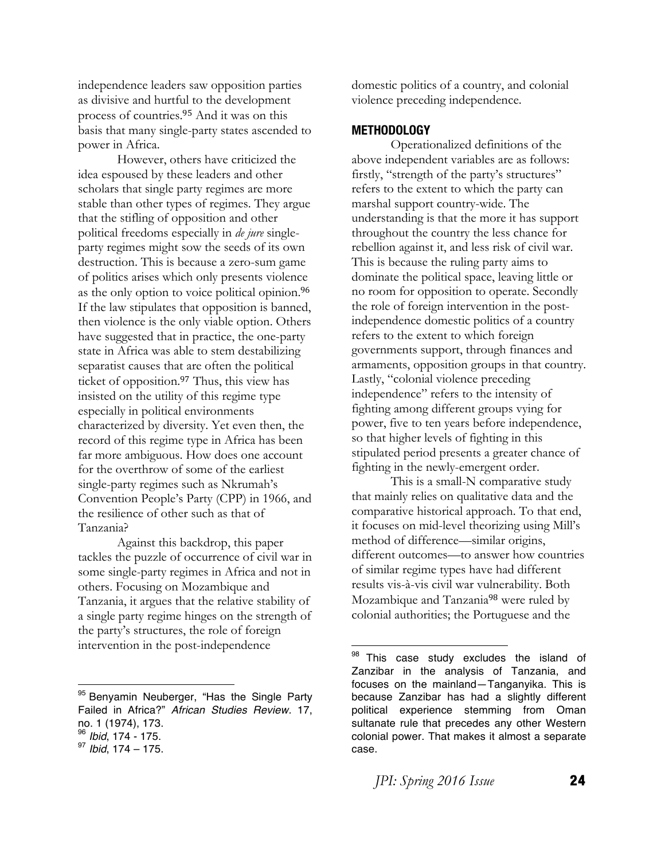independence leaders saw opposition parties as divisive and hurtful to the development process of countries.<sup>95</sup> And it was on this basis that many single-party states ascended to power in Africa.

However, others have criticized the idea espoused by these leaders and other scholars that single party regimes are more stable than other types of regimes. They argue that the stifling of opposition and other political freedoms especially in *de jure* singleparty regimes might sow the seeds of its own destruction. This is because a zero-sum game of politics arises which only presents violence as the only option to voice political opinion.<sup>96</sup> If the law stipulates that opposition is banned, then violence is the only viable option. Others have suggested that in practice, the one-party state in Africa was able to stem destabilizing separatist causes that are often the political ticket of opposition.<sup>97</sup> Thus, this view has insisted on the utility of this regime type especially in political environments characterized by diversity. Yet even then, the record of this regime type in Africa has been far more ambiguous. How does one account for the overthrow of some of the earliest single-party regimes such as Nkrumah's Convention People's Party (CPP) in 1966, and the resilience of other such as that of Tanzania?

Against this backdrop, this paper tackles the puzzle of occurrence of civil war in some single-party regimes in Africa and not in others. Focusing on Mozambique and Tanzania, it argues that the relative stability of a single party regime hinges on the strength of the party's structures, the role of foreign intervention in the post-independence

#### **METHODOLOGY**

Operationalized definitions of the above independent variables are as follows: firstly, "strength of the party's structures" refers to the extent to which the party can marshal support country-wide. The understanding is that the more it has support throughout the country the less chance for rebellion against it, and less risk of civil war. This is because the ruling party aims to dominate the political space, leaving little or no room for opposition to operate. Secondly the role of foreign intervention in the postindependence domestic politics of a country refers to the extent to which foreign governments support, through finances and armaments, opposition groups in that country. Lastly, "colonial violence preceding independence" refers to the intensity of fighting among different groups vying for power, five to ten years before independence, so that higher levels of fighting in this stipulated period presents a greater chance of fighting in the newly-emergent order.

This is a small-N comparative study that mainly relies on qualitative data and the comparative historical approach. To that end, it focuses on mid-level theorizing using Mill's method of difference—similar origins, different outcomes—to answer how countries of similar regime types have had different results vis-à-vis civil war vulnerability. Both Mozambique and Tanzania<sup>98</sup> were ruled by colonial authorities; the Portuguese and the

<sup>&</sup>lt;sup>95</sup> Benyamin Neuberger, "Has the Single Party Failed in Africa?" *African Studies Review.* 17, no. 1 (1974), 173. <sup>96</sup> *Ibid*, 174 - 175.

<sup>97</sup> *Ibid*, 174 – 175.

domestic politics of a country, and colonial violence preceding independence.

<sup>98</sup> This case study excludes the island of Zanzibar in the analysis of Tanzania, and focuses on the mainland—Tanganyika. This is because Zanzibar has had a slightly different political experience stemming from Oman sultanate rule that precedes any other Western colonial power. That makes it almost a separate case.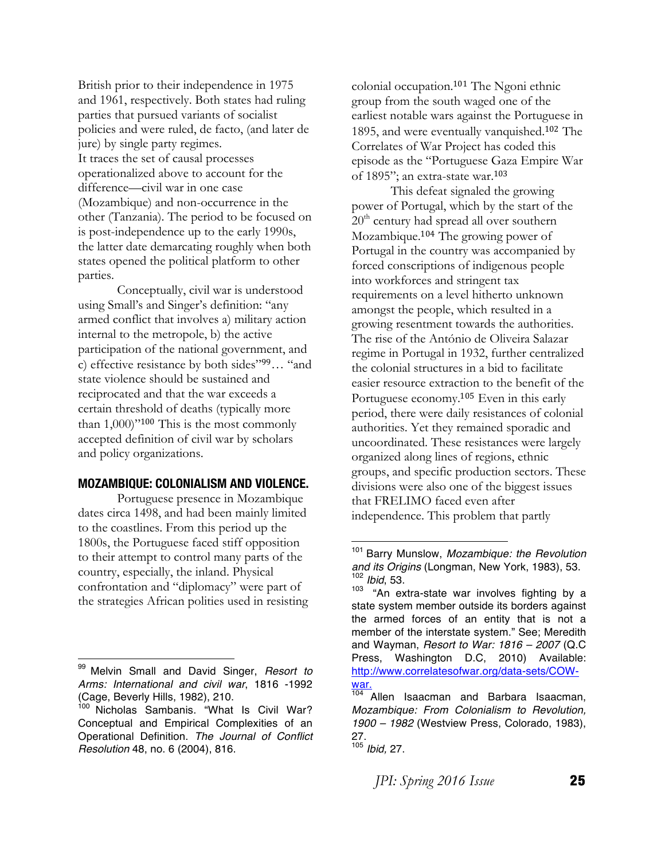British prior to their independence in 1975 and 1961, respectively. Both states had ruling parties that pursued variants of socialist policies and were ruled, de facto, (and later de jure) by single party regimes. It traces the set of causal processes operationalized above to account for the difference—civil war in one case (Mozambique) and non-occurrence in the other (Tanzania). The period to be focused on is post-independence up to the early 1990s, the latter date demarcating roughly when both states opened the political platform to other parties.

Conceptually, civil war is understood using Small's and Singer's definition: "any armed conflict that involves a) military action internal to the metropole, b) the active participation of the national government, and c) effective resistance by both sides"<sup>99</sup>… "and state violence should be sustained and reciprocated and that the war exceeds a certain threshold of deaths (typically more than  $1,000$ <sup>"100</sup> This is the most commonly accepted definition of civil war by scholars and policy organizations.

#### **MOZAMBIQUE: COLONIALISM AND VIOLENCE.**

Portuguese presence in Mozambique dates circa 1498, and had been mainly limited to the coastlines. From this period up the 1800s, the Portuguese faced stiff opposition to their attempt to control many parts of the country, especially, the inland. Physical confrontation and "diplomacy" were part of the strategies African polities used in resisting

colonial occupation.<sup>101</sup> The Ngoni ethnic group from the south waged one of the earliest notable wars against the Portuguese in 1895, and were eventually vanquished.<sup>102</sup> The Correlates of War Project has coded this episode as the "Portuguese Gaza Empire War of 1895"; an extra-state war.<sup>103</sup>

This defeat signaled the growing power of Portugal, which by the start of the  $20<sup>th</sup>$  century had spread all over southern Mozambique.<sup>104</sup> The growing power of Portugal in the country was accompanied by forced conscriptions of indigenous people into workforces and stringent tax requirements on a level hitherto unknown amongst the people, which resulted in a growing resentment towards the authorities. The rise of the António de Oliveira Salazar regime in Portugal in 1932, further centralized the colonial structures in a bid to facilitate easier resource extraction to the benefit of the Portuguese economy.<sup>105</sup> Even in this early period, there were daily resistances of colonial authorities. Yet they remained sporadic and uncoordinated. These resistances were largely organized along lines of regions, ethnic groups, and specific production sectors. These divisions were also one of the biggest issues that FRELIMO faced even after independence. This problem that partly

 <sup>99</sup> Melvin Small and David Singer, *Resort to Arms: International and civil war*, 1816 -1992 (Cage, Beverly Hills, 1982), 210.

<sup>&</sup>lt;sup>100</sup> Nicholas Sambanis. "What Is Civil War? Conceptual and Empirical Complexities of an Operational Definition. *The Journal of Conflict Resolution* 48, no. 6 (2004), 816.

<sup>101</sup> Barry Munslow, *Mozambique: the Revolution and its Origins* (Longman, New York, 1983), 53.  $\frac{102}{102}$  *Ibid*, 53.

<sup>&</sup>quot;An extra-state war involves fighting by a state system member outside its borders against the armed forces of an entity that is not a member of the interstate system." See; Meredith and Wayman, *Resort to War: 1816 – 2007* (Q.C Press, Washington D.C, 2010) Available: http://www.correlatesofwar.org/data-sets/COWwar.<br><sup>104</sup> Allen Isaacman and Barbara Isaacman,

*Mozambique: From Colonialism to Revolution, 1900 – 1982* (Westview Press, Colorado, 1983), 27.

<sup>105</sup> *Ibid,* 27.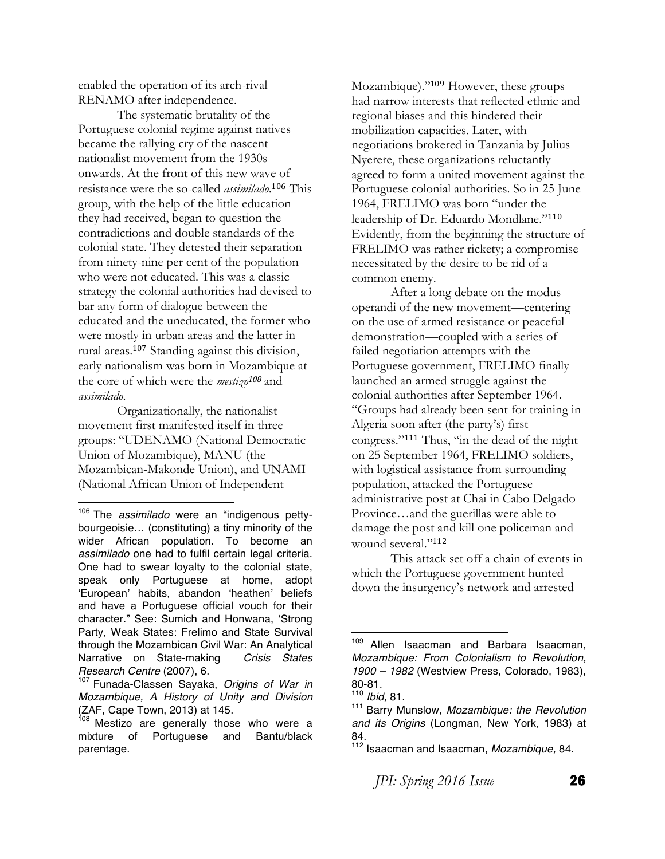enabled the operation of its arch-rival RENAMO after independence.

The systematic brutality of the Portuguese colonial regime against natives became the rallying cry of the nascent nationalist movement from the 1930s onwards. At the front of this new wave of resistance were the so-called *assimilado*. <sup>106</sup> This group, with the help of the little education they had received, began to question the contradictions and double standards of the colonial state. They detested their separation from ninety-nine per cent of the population who were not educated. This was a classic strategy the colonial authorities had devised to bar any form of dialogue between the educated and the uneducated, the former who were mostly in urban areas and the latter in rural areas.<sup>107</sup> Standing against this division, early nationalism was born in Mozambique at the core of which were the *mestizo<sup>108</sup>* and *assimilado*.

Organizationally, the nationalist movement first manifested itself in three groups: "UDENAMO (National Democratic Union of Mozambique), MANU (the Mozambican-Makonde Union), and UNAMI (National African Union of Independent

 

Mozambique)."<sup>109</sup> However, these groups had narrow interests that reflected ethnic and regional biases and this hindered their mobilization capacities. Later, with negotiations brokered in Tanzania by Julius Nyerere, these organizations reluctantly agreed to form a united movement against the Portuguese colonial authorities. So in 25 June 1964, FRELIMO was born "under the leadership of Dr. Eduardo Mondlane."<sup>110</sup> Evidently, from the beginning the structure of FRELIMO was rather rickety; a compromise necessitated by the desire to be rid of a common enemy.

After a long debate on the modus operandi of the new movement—centering on the use of armed resistance or peaceful demonstration—coupled with a series of failed negotiation attempts with the Portuguese government, FRELIMO finally launched an armed struggle against the colonial authorities after September 1964. "Groups had already been sent for training in Algeria soon after (the party's) first congress."<sup>111</sup> Thus, "in the dead of the night on 25 September 1964, FRELIMO soldiers, with logistical assistance from surrounding population, attacked the Portuguese administrative post at Chai in Cabo Delgado Province…and the guerillas were able to damage the post and kill one policeman and wound several."<sup>112</sup>

This attack set off a chain of events in which the Portuguese government hunted down the insurgency's network and arrested

<sup>106</sup> The *assimilado* were an "indigenous pettybourgeoisie… (constituting) a tiny minority of the wider African population. To become an *assimilado* one had to fulfil certain legal criteria. One had to swear loyalty to the colonial state, speak only Portuguese at home, adopt 'European' habits, abandon 'heathen' beliefs and have a Portuguese official vouch for their character." See: Sumich and Honwana, 'Strong Party, Weak States: Frelimo and State Survival through the Mozambican Civil War: An Analytical Narrative on State-making *Crisis States Research Centre* (2007), 6.

<sup>107</sup> Funada-Classen Sayaka, *Origins of War in Mozambique, A History of Unity and Division*  (ZAF, Cape Town, 2013) at 145.

<sup>&</sup>lt;sup>108</sup> Mestizo are generally those who were a mixture of Portuguese and Bantu/black parentage.

<sup>&</sup>lt;sup>109</sup> Allen Isaacman and Barbara Isaacman, *Mozambique: From Colonialism to Revolution, 1900 – 1982* (Westview Press, Colorado, 1983), 80-81.

<sup>110</sup> *Ibid,* 81.

<sup>111</sup> Barry Munslow, *Mozambique: the Revolution and its Origins* (Longman, New York, 1983) at 84.

<sup>112</sup> Isaacman and Isaacman, *Mozambique,* 84.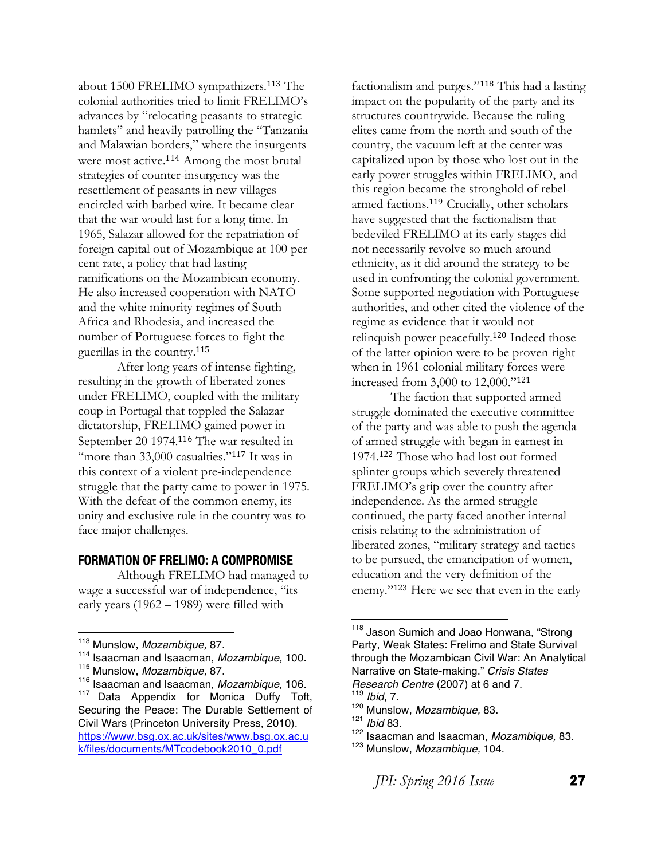about 1500 FRELIMO sympathizers.<sup>113</sup> The colonial authorities tried to limit FRELIMO's advances by "relocating peasants to strategic hamlets" and heavily patrolling the "Tanzania and Malawian borders," where the insurgents were most active.<sup>114</sup> Among the most brutal strategies of counter-insurgency was the resettlement of peasants in new villages encircled with barbed wire. It became clear that the war would last for a long time. In 1965, Salazar allowed for the repatriation of foreign capital out of Mozambique at 100 per cent rate, a policy that had lasting ramifications on the Mozambican economy. He also increased cooperation with NATO and the white minority regimes of South Africa and Rhodesia, and increased the number of Portuguese forces to fight the guerillas in the country.<sup>115</sup>

After long years of intense fighting, resulting in the growth of liberated zones under FRELIMO, coupled with the military coup in Portugal that toppled the Salazar dictatorship, FRELIMO gained power in September 20 1974.<sup>116</sup> The war resulted in "more than 33,000 casualties."<sup>117</sup> It was in this context of a violent pre-independence struggle that the party came to power in 1975. With the defeat of the common enemy, its unity and exclusive rule in the country was to face major challenges.

#### **FORMATION OF FRELIMO: A COMPROMISE**

Although FRELIMO had managed to wage a successful war of independence, "its early years (1962 – 1989) were filled with

k/files/documents/MTcodebook2010\_0.pdf

factionalism and purges."<sup>118</sup> This had a lasting impact on the popularity of the party and its structures countrywide. Because the ruling elites came from the north and south of the country, the vacuum left at the center was capitalized upon by those who lost out in the early power struggles within FRELIMO, and this region became the stronghold of rebelarmed factions.<sup>119</sup> Crucially, other scholars have suggested that the factionalism that bedeviled FRELIMO at its early stages did not necessarily revolve so much around ethnicity, as it did around the strategy to be used in confronting the colonial government. Some supported negotiation with Portuguese authorities, and other cited the violence of the regime as evidence that it would not relinquish power peacefully.<sup>120</sup> Indeed those of the latter opinion were to be proven right when in 1961 colonial military forces were increased from 3,000 to 12,000."<sup>121</sup>

The faction that supported armed struggle dominated the executive committee of the party and was able to push the agenda of armed struggle with began in earnest in 1974.<sup>122</sup> Those who had lost out formed splinter groups which severely threatened FRELIMO's grip over the country after independence. As the armed struggle continued, the party faced another internal crisis relating to the administration of liberated zones, "military strategy and tactics to be pursued, the emancipation of women, education and the very definition of the enemy."<sup>123</sup> Here we see that even in the early

 

<sup>122</sup> Isaacman and Isaacman, *Mozambique,* 83.

 <sup>113</sup> Munslow, *Mozambique,* 87.

<sup>114</sup> Isaacman and Isaacman, *Mozambique,* 100.

<sup>115</sup> Munslow, *Mozambique,* 87.

<sup>116</sup> Isaacman and Isaacman, *Mozambique,* 106. <sup>117</sup> Data Appendix for Monica Duffy Toft, Securing the Peace: The Durable Settlement of Civil Wars (Princeton University Press, 2010). https://www.bsg.ox.ac.uk/sites/www.bsg.ox.ac.u

<sup>&</sup>lt;sup>118</sup> Jason Sumich and Joao Honwana, "Strong Party, Weak States: Frelimo and State Survival through the Mozambican Civil War: An Analytical Narrative on State-making." *Crisis States Research Centre* (2007) at 6 and 7.

*Ibid*, 7.

<sup>120</sup> Munslow, *Mozambique,* 83.

<sup>121</sup> *Ibid* 83.

<sup>123</sup> Munslow, *Mozambique,* 104.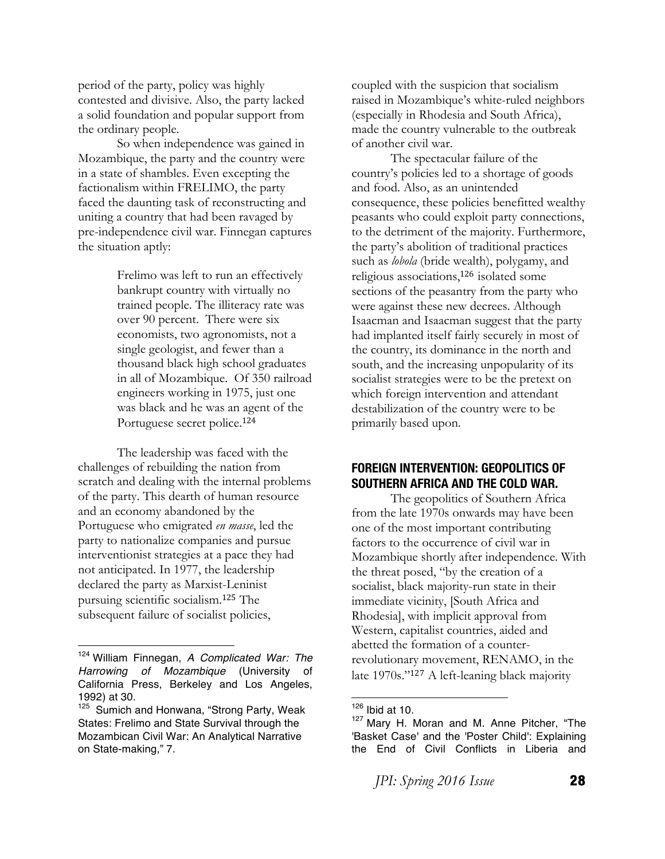period of the party, policy was highly contested and divisive. Also, the party lacked a solid foundation and popular support from the ordinary people.

So when independence was gained in Mozambique, the party and the country were in a state of shambles. Even excepting the factionalism within FRELIMO, the party faced the daunting task of reconstructing and uniting a country that had been ravaged by pre-independence civil war. Finnegan captures the situation aptly:

> Frelimo was left to run an effectively bankrupt country with virtually no trained people. The illiteracy rate was over 90 percent. There were six economists, two agronomists, not a single geologist, and fewer than a thousand black high school graduates in all of Mozambique. Of 350 railroad engineers working in 1975, just one was black and he was an agent of the Portuguese secret police.<sup>124</sup>

The leadership was faced with the challenges of rebuilding the nation from scratch and dealing with the internal problems of the party. This dearth of human resource and an economy abandoned by the Portuguese who emigrated *en masse*, led the party to nationalize companies and pursue interventionist strategies at a pace they had not anticipated. In 1977, the leadership declared the party as Marxist-Leninist pursuing scientific socialism.<sup>125</sup> The subsequent failure of socialist policies,

 

coupled with the suspicion that socialism raised in Mozambique's white-ruled neighbors (especially in Rhodesia and South Africa), made the country vulnerable to the outbreak of another civil war.

The spectacular failure of the country's policies led to a shortage of goods and food. Also, as an unintended consequence, these policies benefitted wealthy peasants who could exploit party connections, to the detriment of the majority. Furthermore, the party's abolition of traditional practices such as *lobola* (bride wealth), polygamy, and religious associations,<sup>126</sup> isolated some sections of the peasantry from the party who were against these new decrees. Although Isaacman and Isaacman suggest that the party had implanted itself fairly securely in most of the country, its dominance in the north and south, and the increasing unpopularity of its socialist strategies were to be the pretext on which foreign intervention and attendant destabilization of the country were to be primarily based upon.

# **FOREIGN INTERVENTION: GEOPOLITICS OF SOUTHERN AFRICA AND THE COLD WAR.**

The geopolitics of Southern Africa from the late 1970s onwards may have been one of the most important contributing factors to the occurrence of civil war in Mozambique shortly after independence. With the threat posed, "by the creation of a socialist, black majority-run state in their immediate vicinity, [South Africa and Rhodesia], with implicit approval from Western, capitalist countries, aided and abetted the formation of a counterrevolutionary movement, RENAMO, in the late 1970s."<sup>127</sup> A left-leaning black majority

<sup>124</sup> William Finnegan, *A Complicated War: The Harrowing of Mozambique* (University of California Press, Berkeley and Los Angeles, 1992) at 30.

<sup>&</sup>lt;sup>125</sup> Sumich and Honwana, "Strong Party, Weak States: Frelimo and State Survival through the Mozambican Civil War: An Analytical Narrative on State-making," 7.

 $126$  Ibid at 10.

<sup>127</sup> Mary H. Moran and M. Anne Pitcher, "The 'Basket Case' and the 'Poster Child': Explaining the End of Civil Conflicts in Liberia and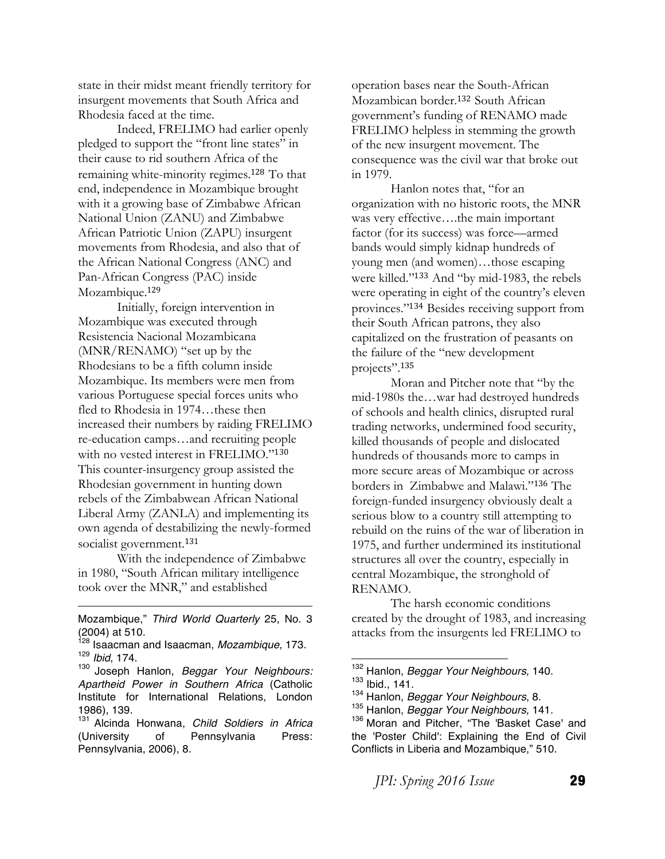state in their midst meant friendly territory for insurgent movements that South Africa and Rhodesia faced at the time.

Indeed, FRELIMO had earlier openly pledged to support the "front line states" in their cause to rid southern Africa of the remaining white-minority regimes.<sup>128</sup> To that end, independence in Mozambique brought with it a growing base of Zimbabwe African National Union (ZANU) and Zimbabwe African Patriotic Union (ZAPU) insurgent movements from Rhodesia, and also that of the African National Congress (ANC) and Pan-African Congress (PAC) inside Mozambique.<sup>129</sup>

Initially, foreign intervention in Mozambique was executed through Resistencia Nacional Mozambicana (MNR/RENAMO) "set up by the Rhodesians to be a fifth column inside Mozambique. Its members were men from various Portuguese special forces units who fled to Rhodesia in 1974…these then increased their numbers by raiding FRELIMO re-education camps…and recruiting people with no vested interest in FRELIMO."<sup>130</sup> This counter-insurgency group assisted the Rhodesian government in hunting down rebels of the Zimbabwean African National Liberal Army (ZANLA) and implementing its own agenda of destabilizing the newly-formed socialist government.<sup>131</sup>

With the independence of Zimbabwe in 1980, "South African military intelligence took over the MNR," and established

<u> 1989 - Johann Barn, mars eta bainar eta bainar eta baina eta baina eta baina eta baina eta baina eta baina e</u> Mozambique," *Third World Quarterly* 25, No. 3 (2004) at 510.

operation bases near the South-African Mozambican border.<sup>132</sup> South African government's funding of RENAMO made FRELIMO helpless in stemming the growth of the new insurgent movement. The consequence was the civil war that broke out in 1979.

Hanlon notes that, "for an organization with no historic roots, the MNR was very effective….the main important factor (for its success) was force—armed bands would simply kidnap hundreds of young men (and women)…those escaping were killed."<sup>133</sup> And "by mid-1983, the rebels were operating in eight of the country's eleven provinces."<sup>134</sup> Besides receiving support from their South African patrons, they also capitalized on the frustration of peasants on the failure of the "new development projects".<sup>135</sup>

Moran and Pitcher note that "by the mid-1980s the…war had destroyed hundreds of schools and health clinics, disrupted rural trading networks, undermined food security, killed thousands of people and dislocated hundreds of thousands more to camps in more secure areas of Mozambique or across borders in Zimbabwe and Malawi."<sup>136</sup> The foreign-funded insurgency obviously dealt a serious blow to a country still attempting to rebuild on the ruins of the war of liberation in 1975, and further undermined its institutional structures all over the country, especially in central Mozambique, the stronghold of RENAMO.

The harsh economic conditions created by the drought of 1983, and increasing attacks from the insurgents led FRELIMO to

<sup>128</sup> Isaacman and Isaacman, *Mozambique,* 173. <sup>129</sup> *Ibid*, 174.

<sup>130</sup> Joseph Hanlon, *Beggar Your Neighbours: Apartheid Power in Southern Africa* (Catholic Institute for International Relations, London 1986), 139.

<sup>131</sup> Alcinda Honwana, *Child Soldiers in Africa* (University of Pennsylvania Press: Pennsylvania, 2006), 8.

 <sup>132</sup> Hanlon, *Beggar Your Neighbours,* 140.  $133$  Ibid., 141.

<sup>134</sup> Hanlon, *Beggar Your Neighbours*, 8.

<sup>135</sup> Hanlon, *Beggar Your Neighbours,* 141.

<sup>136</sup> Moran and Pitcher, "The 'Basket Case' and the 'Poster Child': Explaining the End of Civil Conflicts in Liberia and Mozambique," 510.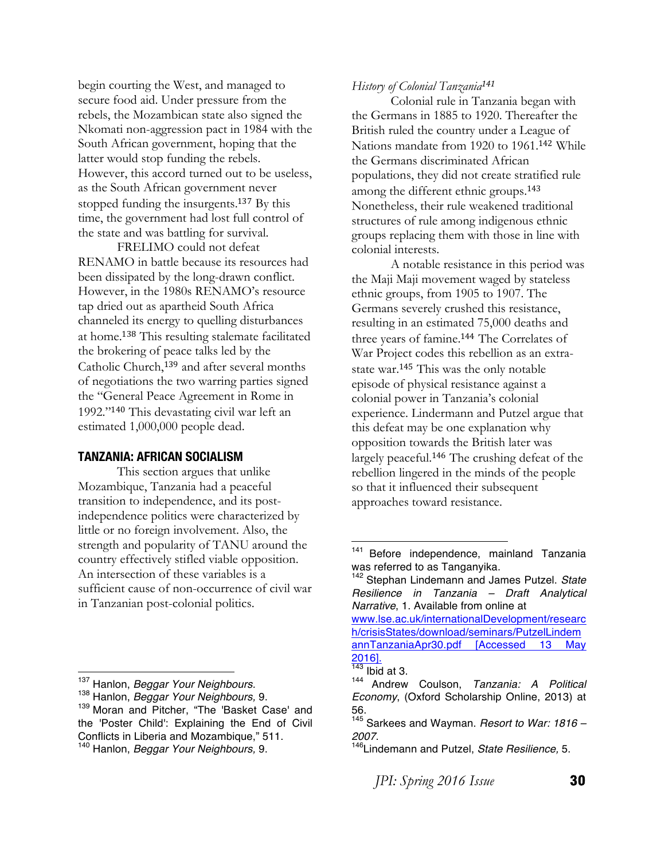begin courting the West, and managed to secure food aid. Under pressure from the rebels, the Mozambican state also signed the Nkomati non-aggression pact in 1984 with the South African government, hoping that the latter would stop funding the rebels. However, this accord turned out to be useless, as the South African government never stopped funding the insurgents.<sup>137</sup> By this time, the government had lost full control of the state and was battling for survival.

FRELIMO could not defeat RENAMO in battle because its resources had been dissipated by the long-drawn conflict. However, in the 1980s RENAMO's resource tap dried out as apartheid South Africa channeled its energy to quelling disturbances at home.<sup>138</sup> This resulting stalemate facilitated the brokering of peace talks led by the Catholic Church,<sup>139</sup> and after several months of negotiations the two warring parties signed the "General Peace Agreement in Rome in 1992."<sup>140</sup> This devastating civil war left an estimated 1,000,000 people dead.

#### **TANZANIA: AFRICAN SOCIALISM**

This section argues that unlike Mozambique, Tanzania had a peaceful transition to independence, and its postindependence politics were characterized by little or no foreign involvement. Also, the strength and popularity of TANU around the country effectively stifled viable opposition. An intersection of these variables is a sufficient cause of non-occurrence of civil war in Tanzanian post-colonial politics.

#### *History of Colonial Tanzania<sup>141</sup>*

Colonial rule in Tanzania began with the Germans in 1885 to 1920. Thereafter the British ruled the country under a League of Nations mandate from 1920 to 1961.<sup>142</sup> While the Germans discriminated African populations, they did not create stratified rule among the different ethnic groups.<sup>143</sup> Nonetheless, their rule weakened traditional structures of rule among indigenous ethnic groups replacing them with those in line with colonial interests.

A notable resistance in this period was the Maji Maji movement waged by stateless ethnic groups, from 1905 to 1907. The Germans severely crushed this resistance, resulting in an estimated 75,000 deaths and three years of famine.<sup>144</sup> The Correlates of War Project codes this rebellion as an extrastate war.<sup>145</sup> This was the only notable episode of physical resistance against a colonial power in Tanzania's colonial experience. Lindermann and Putzel argue that this defeat may be one explanation why opposition towards the British later was largely peaceful.<sup>146</sup> The crushing defeat of the rebellion lingered in the minds of the people so that it influenced their subsequent approaches toward resistance.

 <sup>137</sup> Hanlon, *Beggar Your Neighbours.*

<sup>138</sup> Hanlon, *Beggar Your Neighbours,* 9.

<sup>&</sup>lt;sup>139</sup> Moran and Pitcher, "The 'Basket Case' and the 'Poster Child': Explaining the End of Civil Conflicts in Liberia and Mozambique," 511.

<sup>140</sup> Hanlon, *Beggar Your Neighbours,* 9.

<sup>&</sup>lt;sup>141</sup> Before independence, mainland Tanzania was referred to as Tanganyika.

<sup>142</sup> Stephan Lindemann and James Putzel. *State Resilience in Tanzania – Draft Analytical Narrative*, 1. Available from online at www.lse.ac.uk/internationalDevelopment/researc

h/crisisStates/download/seminars/PutzelLindem annTanzaniaApr30.pdf [Accessed 13 May 2016].

 $143$  Ibid at 3.

<sup>144</sup> Andrew Coulson, *Tanzania: A Political Economy*, (Oxford Scholarship Online, 2013) at 56.

<sup>145</sup> Sarkees and Wayman. *Resort to War: 1816 –*

<sup>&</sup>lt;sup>146</sup>Lindemann and Putzel, *State Resilience*, 5.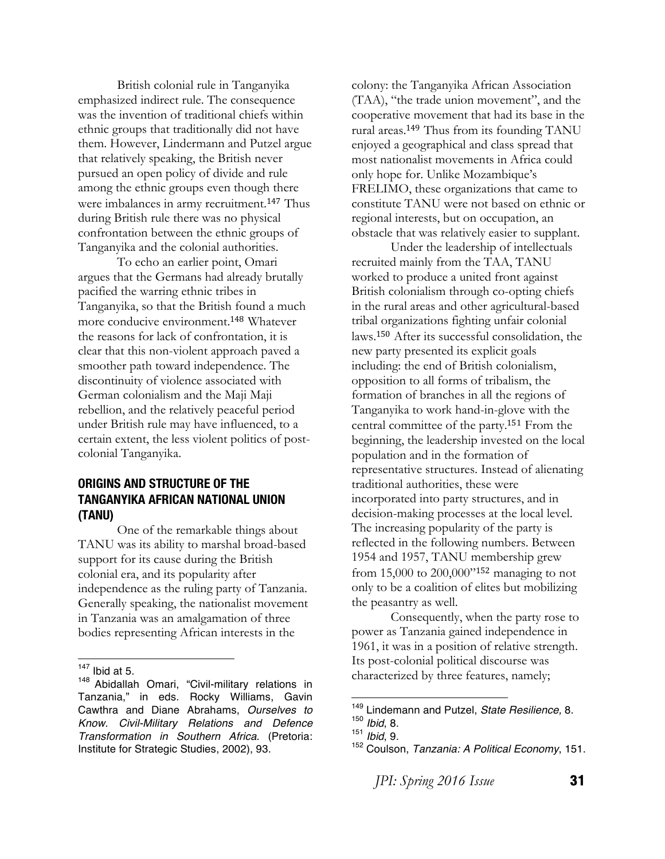British colonial rule in Tanganyika emphasized indirect rule. The consequence was the invention of traditional chiefs within ethnic groups that traditionally did not have them. However, Lindermann and Putzel argue that relatively speaking, the British never pursued an open policy of divide and rule among the ethnic groups even though there were imbalances in army recruitment.<sup>147</sup> Thus during British rule there was no physical confrontation between the ethnic groups of Tanganyika and the colonial authorities.

To echo an earlier point, Omari argues that the Germans had already brutally pacified the warring ethnic tribes in Tanganyika, so that the British found a much more conducive environment.<sup>148</sup> Whatever the reasons for lack of confrontation, it is clear that this non-violent approach paved a smoother path toward independence. The discontinuity of violence associated with German colonialism and the Maji Maji rebellion, and the relatively peaceful period under British rule may have influenced, to a certain extent, the less violent politics of postcolonial Tanganyika.

# **ORIGINS AND STRUCTURE OF THE TANGANYIKA AFRICAN NATIONAL UNION (TANU)**

One of the remarkable things about TANU was its ability to marshal broad-based support for its cause during the British colonial era, and its popularity after independence as the ruling party of Tanzania. Generally speaking, the nationalist movement in Tanzania was an amalgamation of three bodies representing African interests in the

colony: the Tanganyika African Association (TAA), "the trade union movement", and the cooperative movement that had its base in the rural areas.<sup>149</sup> Thus from its founding TANU enjoyed a geographical and class spread that most nationalist movements in Africa could only hope for. Unlike Mozambique's FRELIMO, these organizations that came to constitute TANU were not based on ethnic or regional interests, but on occupation, an obstacle that was relatively easier to supplant.

Under the leadership of intellectuals recruited mainly from the TAA, TANU worked to produce a united front against British colonialism through co-opting chiefs in the rural areas and other agricultural-based tribal organizations fighting unfair colonial laws.<sup>150</sup> After its successful consolidation, the new party presented its explicit goals including: the end of British colonialism, opposition to all forms of tribalism, the formation of branches in all the regions of Tanganyika to work hand-in-glove with the central committee of the party.<sup>151</sup> From the beginning, the leadership invested on the local population and in the formation of representative structures. Instead of alienating traditional authorities, these were incorporated into party structures, and in decision-making processes at the local level. The increasing popularity of the party is reflected in the following numbers. Between 1954 and 1957, TANU membership grew from 15,000 to 200,000"<sup>152</sup> managing to not only to be a coalition of elites but mobilizing the peasantry as well.

Consequently, when the party rose to power as Tanzania gained independence in 1961, it was in a position of relative strength. Its post-colonial political discourse was characterized by three features, namely;

 $147$  Ibid at 5.

<sup>148</sup> Abidallah Omari, "Civil-military relations in Tanzania," in eds. Rocky Williams, Gavin Cawthra and Diane Abrahams, *Ourselves to Know. Civil-Military Relations and Defence Transformation in Southern Africa*. (Pretoria: Institute for Strategic Studies, 2002), 93.

 <sup>149</sup> Lindemann and Putzel, *State Resilience,* 8.

<sup>150</sup> *Ibid*, 8.

<sup>151</sup> *Ibid*, 9.

<sup>152</sup> Coulson, *Tanzania: A Political Economy*, 151.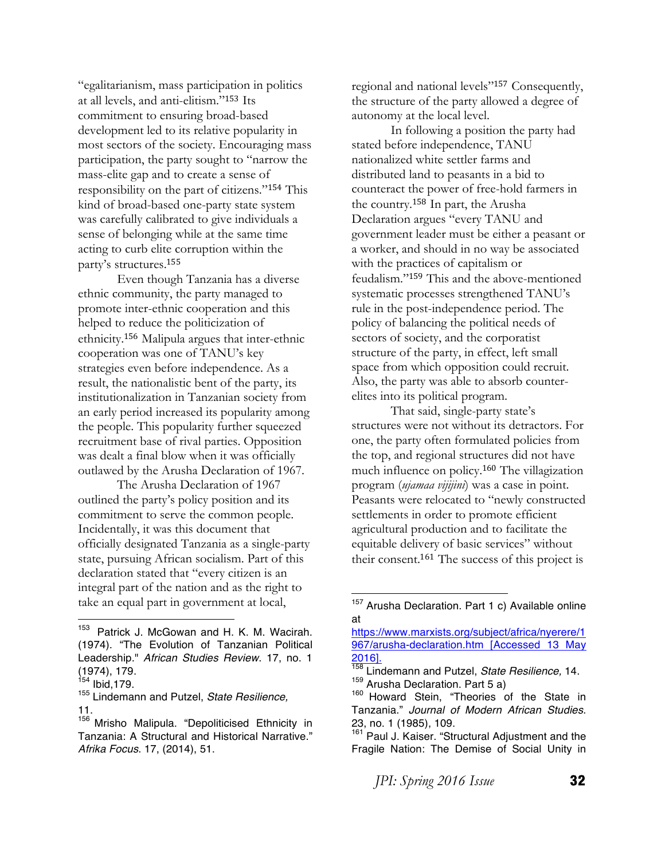"egalitarianism, mass participation in politics at all levels, and anti-elitism."<sup>153</sup> Its commitment to ensuring broad-based development led to its relative popularity in most sectors of the society. Encouraging mass participation, the party sought to "narrow the mass-elite gap and to create a sense of responsibility on the part of citizens."<sup>154</sup> This kind of broad-based one-party state system was carefully calibrated to give individuals a sense of belonging while at the same time acting to curb elite corruption within the party's structures.<sup>155</sup>

Even though Tanzania has a diverse ethnic community, the party managed to promote inter-ethnic cooperation and this helped to reduce the politicization of ethnicity.<sup>156</sup> Malipula argues that inter-ethnic cooperation was one of TANU's key strategies even before independence. As a result, the nationalistic bent of the party, its institutionalization in Tanzanian society from an early period increased its popularity among the people. This popularity further squeezed recruitment base of rival parties. Opposition was dealt a final blow when it was officially outlawed by the Arusha Declaration of 1967.

The Arusha Declaration of 1967 outlined the party's policy position and its commitment to serve the common people. Incidentally, it was this document that officially designated Tanzania as a single-party state, pursuing African socialism. Part of this declaration stated that "every citizen is an integral part of the nation and as the right to take an equal part in government at local,

<sup>155</sup> Lindemann and Putzel, *State Resilience,* 11.

 

regional and national levels"<sup>157</sup> Consequently, the structure of the party allowed a degree of autonomy at the local level.

In following a position the party had stated before independence, TANU nationalized white settler farms and distributed land to peasants in a bid to counteract the power of free-hold farmers in the country.<sup>158</sup> In part, the Arusha Declaration argues "every TANU and government leader must be either a peasant or a worker, and should in no way be associated with the practices of capitalism or feudalism."<sup>159</sup> This and the above-mentioned systematic processes strengthened TANU's rule in the post-independence period. The policy of balancing the political needs of sectors of society, and the corporatist structure of the party, in effect, left small space from which opposition could recruit. Also, the party was able to absorb counterelites into its political program.

That said, single-party state's structures were not without its detractors. For one, the party often formulated policies from the top, and regional structures did not have much influence on policy.<sup>160</sup> The villagization program (*ujamaa vijijini*) was a case in point. Peasants were relocated to "newly constructed settlements in order to promote efficient agricultural production and to facilitate the equitable delivery of basic services" without their consent.<sup>161</sup> The success of this project is

 

<sup>&</sup>lt;sup>153</sup> Patrick J. McGowan and H. K. M. Wacirah. (1974). "The Evolution of Tanzanian Political Leadership." *African Studies Review*. 17, no. 1 (1974), 179.

 $154$  Ibid, 179.

<sup>&</sup>lt;sup>156</sup> Mrisho Malipula. "Depoliticised Ethnicity in Tanzania: A Structural and Historical Narrative." *Afrika Focus*. 17, (2014), 51.

<sup>&</sup>lt;sup>157</sup> Arusha Declaration. Part 1 c) Available online at

https://www.marxists.org/subject/africa/nyerere/1 967/arusha-declaration.htm [Accessed 13 May  $\frac{2016}{158}$ .

<sup>158</sup> Lindemann and Putzel, *State Resilience,* 14.

<sup>159</sup> Arusha Declaration. Part 5 a)

<sup>&</sup>lt;sup>160</sup> Howard Stein, "Theories of the State in Tanzania." *Journal of Modern African Studies.*  23, no. 1 (1985), 109.<br><sup>161</sup> Paul J. Kaiser. "Str

Paul J. Kaiser. "Structural Adjustment and the Fragile Nation: The Demise of Social Unity in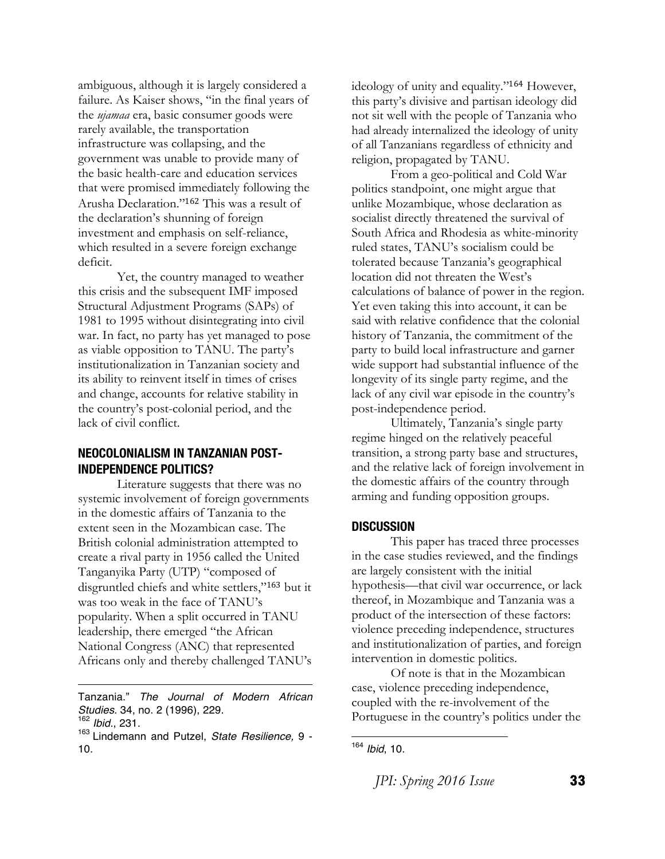ambiguous, although it is largely considered a failure. As Kaiser shows, "in the final years of the *ujamaa* era, basic consumer goods were rarely available, the transportation infrastructure was collapsing, and the government was unable to provide many of the basic health-care and education services that were promised immediately following the Arusha Declaration."<sup>162</sup> This was a result of the declaration's shunning of foreign investment and emphasis on self-reliance, which resulted in a severe foreign exchange deficit.

Yet, the country managed to weather this crisis and the subsequent IMF imposed Structural Adjustment Programs (SAPs) of 1981 to 1995 without disintegrating into civil war. In fact, no party has yet managed to pose as viable opposition to TANU. The party's institutionalization in Tanzanian society and its ability to reinvent itself in times of crises and change, accounts for relative stability in the country's post-colonial period, and the lack of civil conflict.

### **NEOCOLONIALISM IN TANZANIAN POST-INDEPENDENCE POLITICS?**

Literature suggests that there was no systemic involvement of foreign governments in the domestic affairs of Tanzania to the extent seen in the Mozambican case. The British colonial administration attempted to create a rival party in 1956 called the United Tanganyika Party (UTP) "composed of disgruntled chiefs and white settlers,"<sup>163</sup> but it was too weak in the face of TANU's popularity. When a split occurred in TANU leadership, there emerged "the African National Congress (ANC) that represented Africans only and thereby challenged TANU's

Tanzania." *The Journal of Modern African Studies*. 34, no. 2 (1996), 229.

<u> 1989 - Johann Barn, mars eta bainar eta bainar eta baina eta baina eta baina eta baina eta baina eta baina e</u>

ideology of unity and equality."<sup>164</sup> However, this party's divisive and partisan ideology did not sit well with the people of Tanzania who had already internalized the ideology of unity of all Tanzanians regardless of ethnicity and religion, propagated by TANU.

From a geo-political and Cold War politics standpoint, one might argue that unlike Mozambique, whose declaration as socialist directly threatened the survival of South Africa and Rhodesia as white-minority ruled states, TANU's socialism could be tolerated because Tanzania's geographical location did not threaten the West's calculations of balance of power in the region. Yet even taking this into account, it can be said with relative confidence that the colonial history of Tanzania, the commitment of the party to build local infrastructure and garner wide support had substantial influence of the longevity of its single party regime, and the lack of any civil war episode in the country's post-independence period.

Ultimately, Tanzania's single party regime hinged on the relatively peaceful transition, a strong party base and structures, and the relative lack of foreign involvement in the domestic affairs of the country through arming and funding opposition groups.

#### **DISCUSSION**

This paper has traced three processes in the case studies reviewed, and the findings are largely consistent with the initial hypothesis—that civil war occurrence, or lack thereof, in Mozambique and Tanzania was a product of the intersection of these factors: violence preceding independence, structures and institutionalization of parties, and foreign intervention in domestic politics.

Of note is that in the Mozambican case, violence preceding independence, coupled with the re-involvement of the Portuguese in the country's politics under the

<sup>162</sup> *Ibid.*, 231.

<sup>163</sup> Lindemann and Putzel, *State Resilience,* 9 - 10.

 <sup>164</sup> *Ibid*, 10.